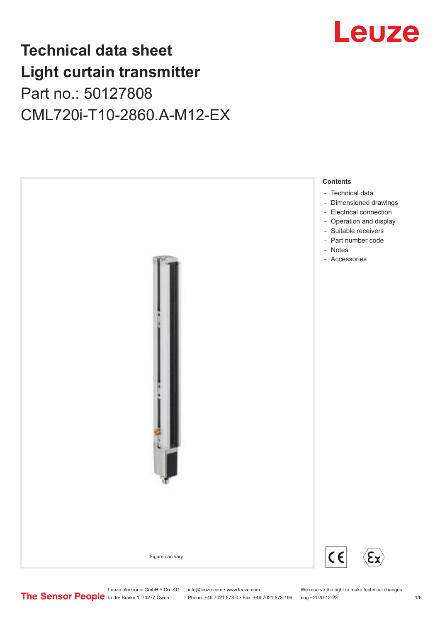## Leuze

## **Technical data sheet Light curtain transmitter** Part no.: 50127808 CML720i-T10-2860.A-M12-EX



Leuze electronic GmbH + Co. KG info@leuze.com • www.leuze.com We reserve the right to make technical changes<br>
The Sensor People in der Braike 1, 73277 Owen Phone: +49 7021 573-0 • Fax: +49 7021 573-199 eng • 2020-12-23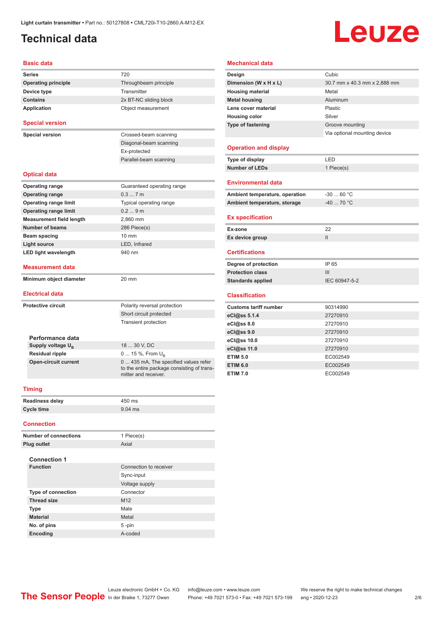## <span id="page-1-0"></span>**Technical data**

# Leuze

#### **Basic data**

| <b>Basic data</b>                                       |                                            | <b>Mechanical data</b>    |
|---------------------------------------------------------|--------------------------------------------|---------------------------|
| <b>Series</b>                                           | 720                                        | Design                    |
| <b>Operating principle</b>                              | Throughbeam principle                      | Dimension (W x H          |
| Device type                                             | Transmitter                                | <b>Housing material</b>   |
| <b>Contains</b>                                         | 2x BT-NC sliding block                     | <b>Metal housing</b>      |
| <b>Application</b>                                      | Object measurement                         | Lens cover materia        |
|                                                         |                                            | <b>Housing color</b>      |
| <b>Special version</b>                                  |                                            | Type of fastening         |
| <b>Special version</b>                                  | Crossed-beam scanning                      |                           |
|                                                         | Diagonal-beam scanning                     |                           |
|                                                         | Ex-protected                               | <b>Operation and d</b>    |
|                                                         | Parallel-beam scanning                     | Type of display           |
|                                                         |                                            | <b>Number of LEDs</b>     |
| <b>Optical data</b>                                     |                                            |                           |
| <b>Operating range</b>                                  | Guaranteed operating range                 | <b>Environmental d</b>    |
| <b>Operating range</b>                                  | 0.37m                                      | <b>Ambient temperatu</b>  |
| <b>Operating range limit</b>                            | Typical operating range                    | <b>Ambient temperatu</b>  |
| <b>Operating range limit</b>                            | 0.29m                                      |                           |
| <b>Measurement field length</b>                         | 2,860 mm                                   | <b>Ex specification</b>   |
| <b>Number of beams</b>                                  | 286 Piece(s)                               | Ex-zone                   |
| <b>Beam spacing</b>                                     | 10 mm                                      | Ex device group           |
| <b>Light source</b>                                     | LED, Infrared                              |                           |
| <b>LED light wavelength</b>                             | 940 nm                                     | <b>Certifications</b>     |
| <b>Measurement data</b>                                 |                                            | Degree of protectio       |
|                                                         |                                            | <b>Protection class</b>   |
| Minimum object diameter                                 | 20 mm                                      | <b>Standards applied</b>  |
| <b>Electrical data</b>                                  |                                            |                           |
|                                                         |                                            | <b>Classification</b>     |
| <b>Protective circuit</b>                               | Polarity reversal protection               | <b>Customs tariff nun</b> |
|                                                         | Short circuit protected                    | eCl@ss 5.1.4              |
|                                                         | <b>Transient protection</b>                | eCl@ss 8.0                |
|                                                         |                                            | eCl@ss 9.0                |
| Performance data                                        | 18  30 V, DC                               | eCl@ss 10.0               |
| Supply voltage U <sub>R</sub><br><b>Residual ripple</b> | 0  15 %, From $U_{R}$                      | eCl@ss 11.0               |
| <b>Open-circuit current</b>                             | 0  435 mA, The specified values refer      | <b>ETIM 5.0</b>           |
|                                                         | to the entire package consisting of trans- | <b>ETIM 6.0</b>           |
|                                                         | mitter and receiver.                       | <b>ETIM 7.0</b>           |
|                                                         |                                            |                           |
| <b>Timing</b>                                           |                                            |                           |
| Readiness delay                                         | 450 ms                                     |                           |
| <b>Cycle time</b>                                       | 9.04 ms                                    |                           |
|                                                         |                                            |                           |
| <b>Connection</b>                                       |                                            |                           |

#### **Design Cubic Dimension (W x H x L)** 30.7 mm x 40.3 mm x 2,888 mm **Housing material** Metal **Metal housing Aluminum Lens cover material** Plastic **Housing color** Silver **Type of fastening** Groove mounting Via optional mounting device **Operation and display Type of display** LED **Number of LEDs** 1 Piece(s) **Environmental data** Ambient temperature, operation  $-30...60$  °C Ambient temperature, storage  $-40$  ... 70 °C **Ex specification Ex-zone** 22 **Ex device group** II **Certifications Degree of protection** IP 65 **Protection class** III **Standards applied** IEC 60947-5-2 **Classification Customs tariff number** 90314990 **eCl@ss 5.1.4** 27270910 **eCl@ss 8.0** 27270910 **eCl@ss 9.0** 27270910 **eCl@ss 10.0** 27270910 **eCl@ss 11.0** 27270910 **ETIM 5.0** EC002549 **ETIM 6.0** EC002549 **ETIM 7.0** EC002549

| <b>Number of connections</b> | 1 Piece(s)             |
|------------------------------|------------------------|
| Plug outlet                  | Axial                  |
| <b>Connection 1</b>          |                        |
| <b>Function</b>              | Connection to receiver |
|                              | Sync-input             |
|                              | Voltage supply         |
| <b>Type of connection</b>    | Connector              |
| <b>Thread size</b>           | M <sub>12</sub>        |
| <b>Type</b>                  | Male                   |
| <b>Material</b>              | Metal                  |
| No. of pins                  | 5-pin                  |
| <b>Encoding</b>              | A-coded                |

Leuze electronic GmbH + Co. KG info@leuze.com • www.leuze.com We reserve the right to make technical changes<br>
The Sensor People in der Braike 1, 73277 Owen Phone: +49 7021 573-0 • Fax: +49 7021 573-199 eng • 2020-12-23

Phone: +49 7021 573-0 • Fax: +49 7021 573-199 eng • 2020-12-23 2/6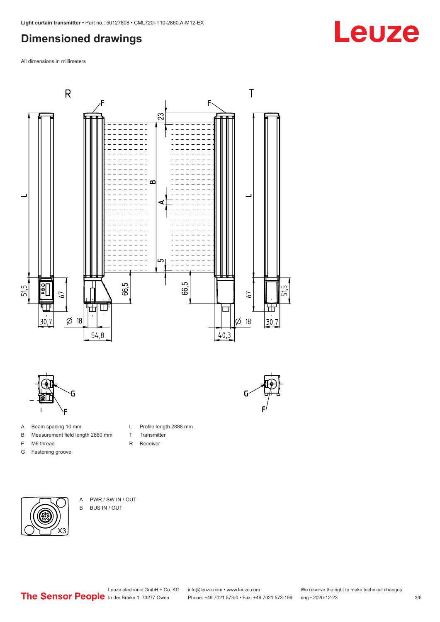### <span id="page-2-0"></span>**Dimensioned drawings**

All dimensions in millimeters





- A Beam spacing 10 mm
- B Measurement field length 2860 mm
- F M6 thread
- G Fastening groove

- X3
- A PWR / SW IN / OUT B BUS IN / OUT



L Profile length 2888 mm

T Transmitter R Receiver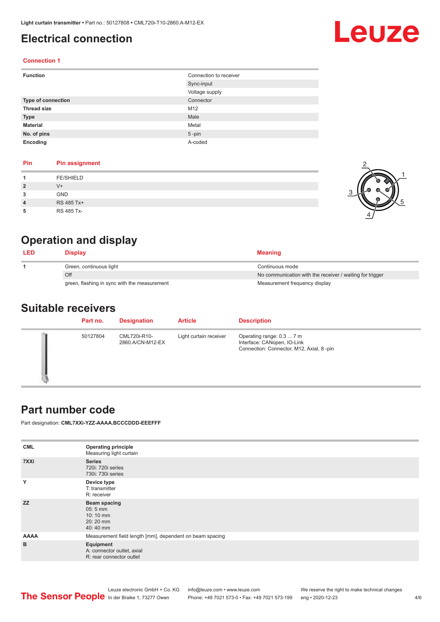### <span id="page-3-0"></span>**Electrical connection**

# Leuze

2

1

5

#### **Connection 1**

| <b>Function</b>    | Connection to receiver |
|--------------------|------------------------|
|                    | Sync-input             |
|                    | Voltage supply         |
| Type of connection | Connector              |
| <b>Thread size</b> | M12                    |
| <b>Type</b>        | Male                   |
| <b>Material</b>    | Metal                  |
| No. of pins        | $5$ -pin               |
| Encoding           | A-coded                |

#### **Pin Pin assignment**

| <b>FE/SHIELD</b><br>$V +$<br>$\overline{2}$ |  |  |
|---------------------------------------------|--|--|
|                                             |  |  |
|                                             |  |  |
| <b>GND</b><br>3                             |  |  |
| RS 485 Tx+<br>$\overline{4}$                |  |  |
| RS 485 Tx-<br>5                             |  |  |

### **Operation and display**

| <b>LED</b> | Display                                      | <b>Meaning</b>                                           |
|------------|----------------------------------------------|----------------------------------------------------------|
|            | Green, continuous light                      | Continuous mode                                          |
|            | Off                                          | No communication with the receiver / waiting for trigger |
|            | green, flashing in sync with the measurement | Measurement frequency display                            |

#### **Suitable receivers**

| Part no. | <b>Designation</b>               | <b>Article</b>         | <b>Description</b>                                                                                   |
|----------|----------------------------------|------------------------|------------------------------------------------------------------------------------------------------|
| 50127804 | CML720i-R10-<br>2860.A/CN-M12-EX | Light curtain receiver | Operating range: 0.3  7 m<br>Interface: CANopen, IO-Link<br>Connection: Connector, M12, Axial, 8-pin |

#### **Part number code**

Part designation: **CML7XXi-YZZ-AAAA.BCCCDDD-EEEFFF**

| <b>Operating principle</b><br>Measuring light curtain               |
|---------------------------------------------------------------------|
| <b>Series</b><br>720i: 720i series<br>730i: 730i series             |
| Device type<br>T: transmitter<br>R: receiver                        |
| Beam spacing<br>$05:5$ mm<br>10:10 mm<br>20:20 mm<br>40:40 mm       |
| Measurement field length [mm], dependent on beam spacing            |
| Equipment<br>A: connector outlet, axial<br>R: rear connector outlet |
|                                                                     |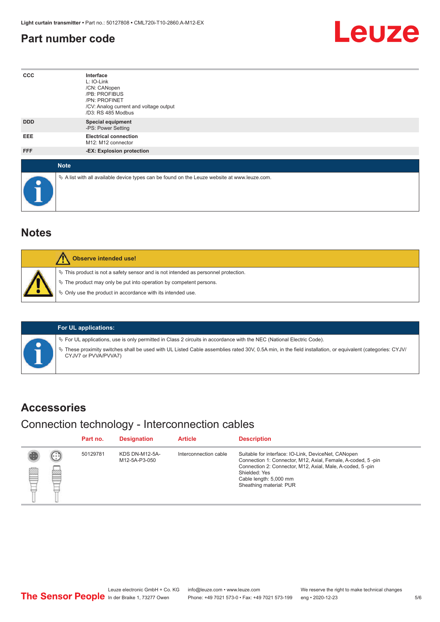#### <span id="page-4-0"></span>**Part number code**



| $_{\rm ccc}$ | Interface<br>L: IO-Link<br>/CN: CANopen<br>/PB: PROFIBUS<br>/PN: PROFINET<br>/CV: Analog current and voltage output<br>/D3: RS 485 Modbus |
|--------------|-------------------------------------------------------------------------------------------------------------------------------------------|
| <b>DDD</b>   | <b>Special equipment</b><br>-PS: Power Setting                                                                                            |
| EEE          | <b>Electrical connection</b><br>M12: M12 connector                                                                                        |
| FFF          | -EX: Explosion protection                                                                                                                 |
| <b>Note</b>  |                                                                                                                                           |
| $\bullet$    | $\&$ A list with all available device types can be found on the Leuze website at www.leuze.com.                                           |

#### **Notes**

| Observe intended use!                                                                                                                                                                                                      |
|----------------------------------------------------------------------------------------------------------------------------------------------------------------------------------------------------------------------------|
| $\%$ This product is not a safety sensor and is not intended as personnel protection.<br>§ The product may only be put into operation by competent persons.<br>§ Only use the product in accordance with its intended use. |

#### **For UL applications:**

ª For UL applications, use is only permitted in Class 2 circuits in accordance with the NEC (National Electric Code).

ª These proximity switches shall be used with UL Listed Cable assemblies rated 30V, 0.5A min, in the field installation, or equivalent (categories: CYJV/ CYJV7 or PVVA/PVVA7)

#### **Accessories**

#### Connection technology - Interconnection cables

|   |                         | Part no. | <b>Designation</b>                     | <b>Article</b>        | <b>Description</b>                                                                                                                                                                                                                                    |
|---|-------------------------|----------|----------------------------------------|-----------------------|-------------------------------------------------------------------------------------------------------------------------------------------------------------------------------------------------------------------------------------------------------|
| § | (.<br><b>drams</b><br>œ | 50129781 | <b>KDS DN-M12-5A-</b><br>M12-5A-P3-050 | Interconnection cable | Suitable for interface: IO-Link, DeviceNet, CANopen<br>Connection 1: Connector, M12, Axial, Female, A-coded, 5-pin<br>Connection 2: Connector, M12, Axial, Male, A-coded, 5-pin<br>Shielded: Yes<br>Cable length: 5,000 mm<br>Sheathing material: PUR |